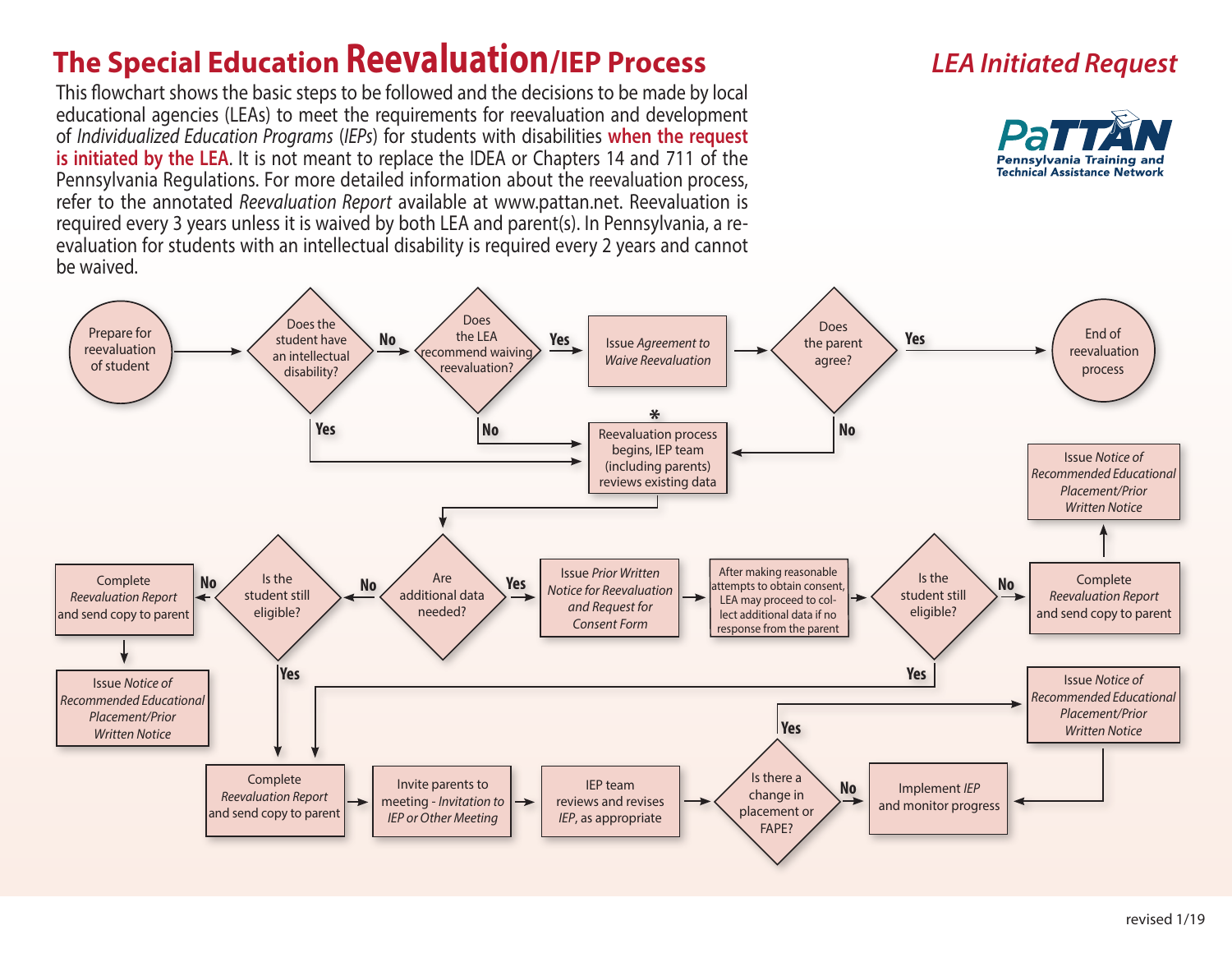## **The Special Education Reevaluation/IEP Process**

This flowchart shows the basic steps to be followed and the decisions to be made by local educational agencies (LEAs) to meet the requirements for reevaluation and development of *Individualized Education Programs* (*IEPs*) for students with disabilities **when the request is initiated by the LEA**. It is not meant to replace the IDEA or Chapters 14 and 711 of the Pennsylvania Regulations. For more detailed information about the reevaluation process, refer to the annotated *Reevaluation Report* available at www.pattan.net. Reevaluation is required every 3 years unless it is waived by both LEA and parent(s). In Pennsylvania, a reevaluation for students with an intellectual disability is required every 2 years and cannot be waived.

## *LEA Initiated Request*